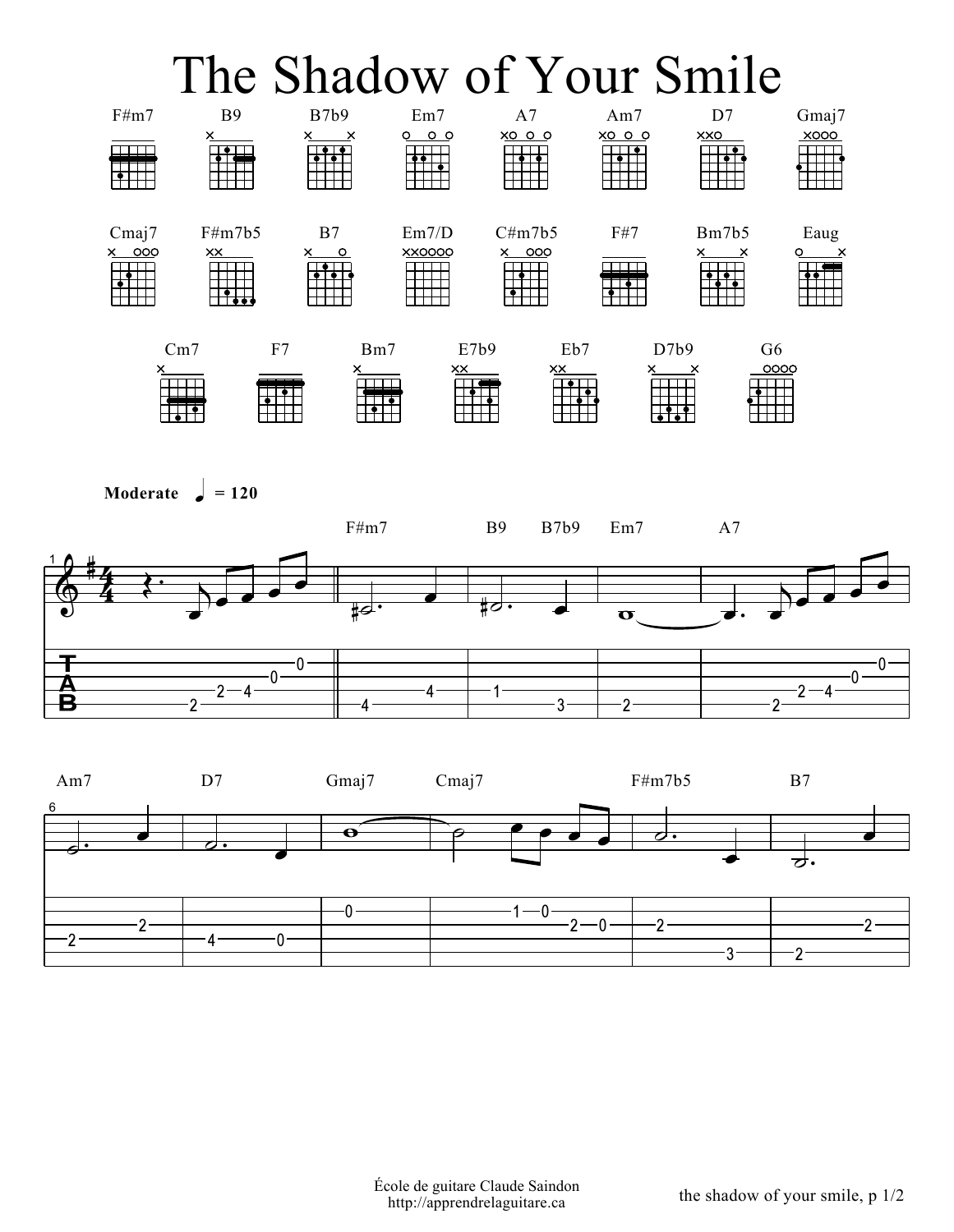## The Shadow of Your Smile



```
Moderate \frac{1}{2} = 120
```